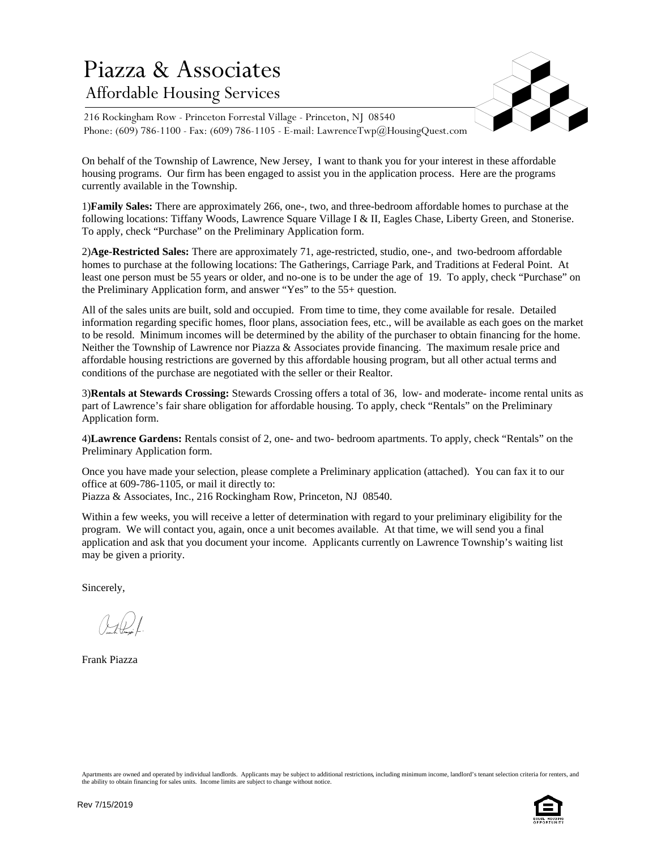## Piazza & Associates Affordable Housing Services



216 Rockingham Row - Princeton Forrestal Village - Princeton, NJ 08540 Phone: (609) 786-1100 - Fax: (609) 786-1105 - E-mail: LawrenceTwp@HousingQuest.com

On behalf of the Township of Lawrence, New Jersey, I want to thank you for your interest in these affordable housing programs. Our firm has been engaged to assist you in the application process. Here are the programs currently available in the Township.

1)**Family Sales:** There are approximately 266, one-, two, and three-bedroom affordable homes to purchase at the following locations: Tiffany Woods, Lawrence Square Village I & II, Eagles Chase, Liberty Green, and Stonerise. To apply, check "Purchase" on the Preliminary Application form.

2)**Age-Restricted Sales:** There are approximately 71, age-restricted, studio, one-, and two-bedroom affordable homes to purchase at the following locations: The Gatherings, Carriage Park, and Traditions at Federal Point. At least one person must be 55 years or older, and no-one is to be under the age of 19. To apply, check "Purchase" on the Preliminary Application form, and answer "Yes" to the 55+ question.

All of the sales units are built, sold and occupied. From time to time, they come available for resale. Detailed information regarding specific homes, floor plans, association fees, etc., will be available as each goes on the market to be resold. Minimum incomes will be determined by the ability of the purchaser to obtain financing for the home. Neither the Township of Lawrence nor Piazza & Associates provide financing. The maximum resale price and affordable housing restrictions are governed by this affordable housing program, but all other actual terms and conditions of the purchase are negotiated with the seller or their Realtor.

3)**Rentals at Stewards Crossing:** Stewards Crossing offers a total of 36, low- and moderate- income rental units as part of Lawrence's fair share obligation for affordable housing. To apply, check "Rentals" on the Preliminary Application form.

4)**Lawrence Gardens:** Rentals consist of 2, one- and two- bedroom apartments. To apply, check "Rentals" on the Preliminary Application form.

Once you have made your selection, please complete a Preliminary application (attached). You can fax it to our office at 609-786-1105, or mail it directly to: Piazza & Associates, Inc., 216 Rockingham Row, Princeton, NJ 08540.

Within a few weeks, you will receive a letter of determination with regard to your preliminary eligibility for the program. We will contact you, again, once a unit becomes available. At that time, we will send you a final application and ask that you document your income. Applicants currently on Lawrence Township's waiting list may be given a priority.

Sincerely,

 $(\downarrow \downarrow \downarrow)/$ 

Frank Piazza

Apartments are owned and operated by individual landlords. Applicants may be subject to additional restrictions, including minimum income, landlord's tenant selection criteria for renters, and the ability to obtain financing for sales units. Income limits are subject to change without notice.

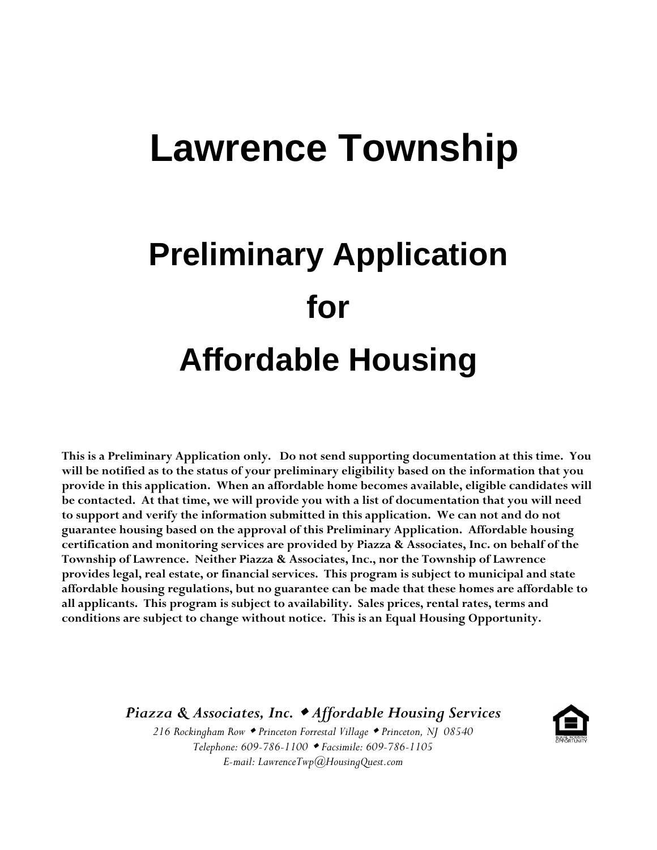# **Lawrence Township**

# **Preliminary Application for Affordable Housing**

**This is a Preliminary Application only. Do not send supporting documentation at this time. You will be notified as to the status of your preliminary eligibility based on the information that you provide in this application. When an affordable home becomes available, eligible candidates will be contacted. At that time, we will provide you with a list of documentation that you will need to support and verify the information submitted in this application. We can not and do not guarantee housing based on the approval of this Preliminary Application. Affordable housing certification and monitoring services are provided by Piazza & Associates, Inc. on behalf of the Township of Lawrence. Neither Piazza & Associates, Inc., nor the Township of Lawrence provides legal, real estate, or financial services. This program is subject to municipal and state affordable housing regulations, but no guarantee can be made that these homes are affordable to all applicants. This program is subject to availability. Sales prices, rental rates, terms and conditions are subject to change without notice. This is an Equal Housing Opportunity.**

*Piazza & Associates, Inc. Affordable Housing Services*

*216 Rockingham Row Princeton Forrestal Village Princeton, NJ 08540 Telephone: 609-786-1100 Facsimile: 609-786-1105 E-mail: LawrenceTwp@HousingQuest.com*

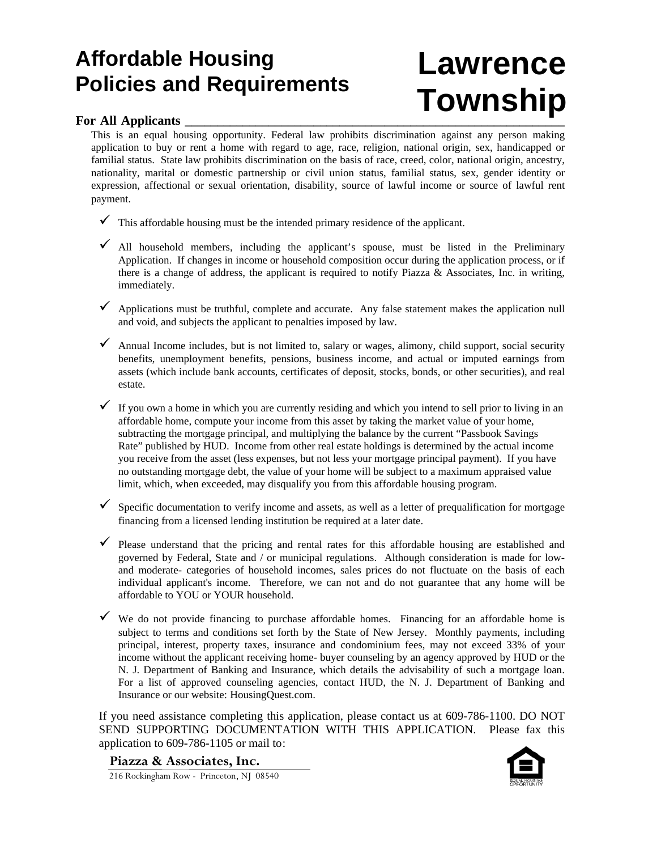## **Affordable Housing Policies and Requirements**

# **Lawrence Township**

## For All Applicants

This is an equal housing opportunity. Federal law prohibits discrimination against any person making application to buy or rent a home with regard to age, race, religion, national origin, sex, handicapped or familial status. State law prohibits discrimination on the basis of race, creed, color, national origin, ancestry, nationality, marital or domestic partnership or civil union status, familial status, sex, gender identity or expression, affectional or sexual orientation, disability, source of lawful income or source of lawful rent payment.

- $\checkmark$  This affordable housing must be the intended primary residence of the applicant.
- $\checkmark$  All household members, including the applicant's spouse, must be listed in the Preliminary Application. If changes in income or household composition occur during the application process, or if there is a change of address, the applicant is required to notify Piazza  $\&$  Associates, Inc. in writing, immediately.
- $\checkmark$  Applications must be truthful, complete and accurate. Any false statement makes the application null and void, and subjects the applicant to penalties imposed by law.
- $\checkmark$  Annual Income includes, but is not limited to, salary or wages, alimony, child support, social security benefits, unemployment benefits, pensions, business income, and actual or imputed earnings from assets (which include bank accounts, certificates of deposit, stocks, bonds, or other securities), and real estate.
- $\checkmark$  If you own a home in which you are currently residing and which you intend to sell prior to living in an affordable home, compute your income from this asset by taking the market value of your home, subtracting the mortgage principal, and multiplying the balance by the current "Passbook Savings Rate" published by HUD. Income from other real estate holdings is determined by the actual income you receive from the asset (less expenses, but not less your mortgage principal payment). If you have no outstanding mortgage debt, the value of your home will be subject to a maximum appraised value limit, which, when exceeded, may disqualify you from this affordable housing program.
- $\checkmark$  Specific documentation to verify income and assets, as well as a letter of prequalification for mortgage financing from a licensed lending institution be required at a later date.
- $\checkmark$  Please understand that the pricing and rental rates for this affordable housing are established and governed by Federal, State and / or municipal regulations. Although consideration is made for lowand moderate- categories of household incomes, sales prices do not fluctuate on the basis of each individual applicant's income. Therefore, we can not and do not guarantee that any home will be affordable to YOU or YOUR household.
- $\checkmark$  We do not provide financing to purchase affordable homes. Financing for an affordable home is subject to terms and conditions set forth by the State of New Jersey. Monthly payments, including principal, interest, property taxes, insurance and condominium fees, may not exceed 33% of your income without the applicant receiving home- buyer counseling by an agency approved by HUD or the N. J. Department of Banking and Insurance, which details the advisability of such a mortgage loan. For a list of approved counseling agencies, contact HUD, the N. J. Department of Banking and Insurance or our website: HousingQuest.com.

If you need assistance completing this application, please contact us at 609-786-1100. DO NOT SEND SUPPORTING DOCUMENTATION WITH THIS APPLICATION. Please fax this application to 609-786-1105 or mail to:

**Piazza & Associates, Inc.**



216 Rockingham Row - Princeton, NJ 08540